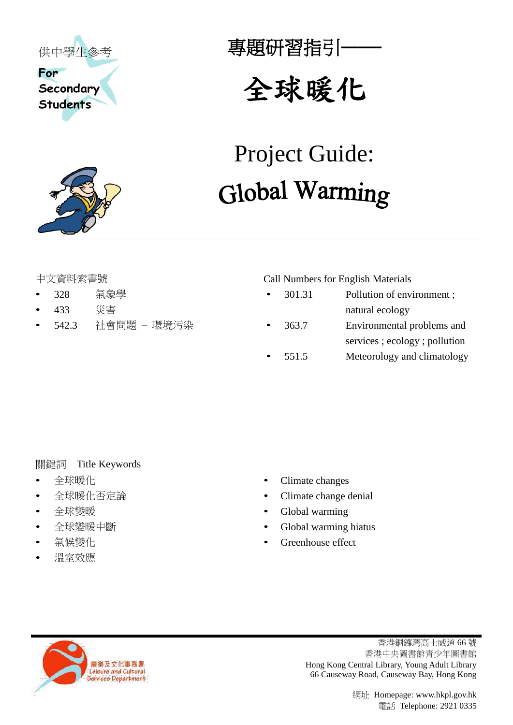



## 專題研習指引**───**

# 全球暖化

# Project Guide: Global Warming

- 
- 
- 

中文資料索書號 Call Numbers for English Materials

• 328 氣象學 • 301.31 Pollution of environment ; • 433 災害 natural ecology • 542.3 社會問題 – 環境污染 • 363.7 Environmental problems and services ; ecology ; pollution 551.5 Meteorology and climatology

### 關鍵詞 Title Keywords

- 
- 
- 
- 
- 
- 溫室效應
- 全球暖化 Climate changes
	- 全球暖化否定論 Climate change denial
- 全球變暖 Global warming
- 全球變暖中斷 Global warming hiatus
	- 氣候變化 Greenhouse effect



香港銅鑼灣高士威道 66 號 香港中央圖書館青少年圖書館 Hong Kong Central Library, Young Adult Library 66 Causeway Road, Causeway Bay, Hong Kong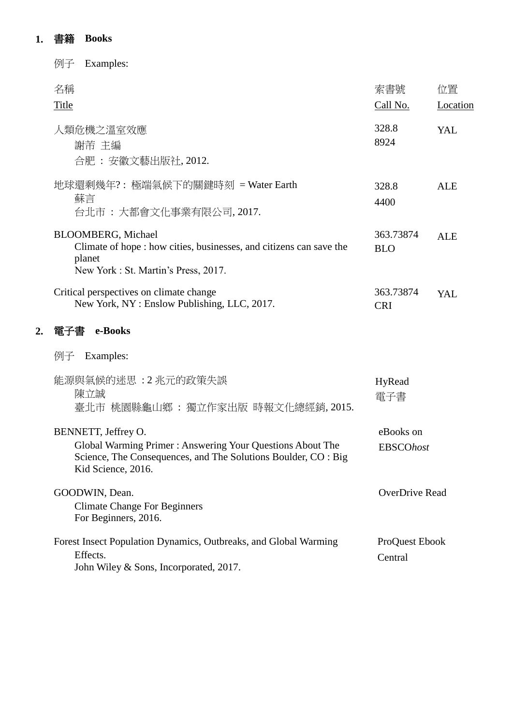### **1.** 書籍 **Books**

**2.** 電子書 **e-Books**

| 例子<br>Examples:                                                                                                                                                          |                               |                |
|--------------------------------------------------------------------------------------------------------------------------------------------------------------------------|-------------------------------|----------------|
| 名稱<br>Title                                                                                                                                                              | 索書號<br>Call No.               | 位置<br>Location |
| 人類危機之溫室效應<br>謝芾 主編<br>合肥: 安徽文藝出版社, 2012.                                                                                                                                 | 328.8<br>8924                 | YAL            |
| 地球還剩幾年?: 極端氣候下的關鍵時刻 = Water Earth<br>蘇言<br>台北市 : 大都會文化事業有限公司, 2017.                                                                                                      | 328.8<br>4400                 | <b>ALE</b>     |
| <b>BLOOMBERG</b> , Michael<br>Climate of hope : how cities, businesses, and citizens can save the<br>planet<br>New York: St. Martin's Press, 2017.                       | 363.73874<br><b>BLO</b>       | <b>ALE</b>     |
| Critical perspectives on climate change<br>New York, NY: Enslow Publishing, LLC, 2017.                                                                                   | 363.73874<br><b>CRI</b>       | YAL            |
| e-Books<br>電子書                                                                                                                                                           |                               |                |
| 例子 Examples:                                                                                                                                                             |                               |                |
| 能源與氣候的迷思:2兆元的政策失誤<br>陳立誠<br>臺北市 桃園縣龜山鄉 : 獨立作家出版 時報文化總經銷, 2015.                                                                                                           | HyRead<br>電子書                 |                |
| BENNETT, Jeffrey O.<br>Global Warming Primer: Answering Your Questions About The<br>Science, The Consequences, and The Solutions Boulder, CO : Big<br>Kid Science, 2016. | eBooks on<br><b>EBSCOhost</b> |                |
| GOODWIN, Dean.<br><b>Climate Change For Beginners</b><br>For Beginners, 2016.                                                                                            | OverDrive Read                |                |
| Forest Insect Population Dynamics, Outbreaks, and Global Warming<br>Effects.<br>John Wiley & Sons, Incorporated, 2017.                                                   | ProQuest Ebook<br>Central     |                |
|                                                                                                                                                                          |                               |                |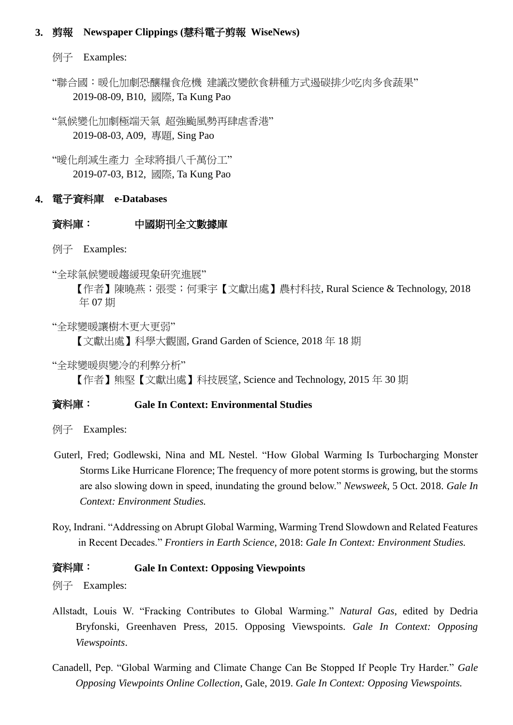#### **3.** 剪報 **Newspaper Clippings (**慧科電子剪報 **WiseNews)**

例子 Examples:

"聯合國:暖化加劇恐釀糧食危機 建議改變飲食耕種方式遏碳排少吃肉多食蔬果" 2019-08-09, B10, 國際, Ta Kung Pao

"氣候變化加劇極端天氣 超強颱風勢再肆虐香港" 2019-08-03, A09, 專題, Sing Pao

"曖化削減生產力 全球將損八千萬份工" 2019-07-03, B12, 國際, Ta Kung Pao

#### **4.** 電子資料庫 **e-Databases**

#### 資料庫: 中國期刊全文數據庫

例子 Examples:

"全球氣候變暖趨緩現象研究進展"

【作者】陳曉燕;張雯;何秉宇【文獻出處】農村科技, Rural Science & Technology, 2018 年 07 期

"全球變暖讓樹木更大更弱"

【文獻出處】科學大觀園, Grand Garden of Science, 2018 年 18 期

"全球變暖與變冷的利弊分析"

【作者】熊堅【文獻出處】科技展望, Science and Technology, 2015 年 30 期

#### 資料庫: **Gale In Context: Environmental Studies**

例子 Examples:

- Guterl, Fred; Godlewski, Nina and ML Nestel. "How Global Warming Is Turbocharging Monster Storms Like Hurricane Florence; The frequency of more potent storms is growing, but the storms are also slowing down in speed, inundating the ground below." *Newsweek*, 5 Oct. 2018. *Gale In Context: Environment Studies.*
- Roy, Indrani. "Addressing on Abrupt Global Warming, Warming Trend Slowdown and Related Features in Recent Decades." *Frontiers in Earth Science*, 2018: *Gale In Context: Environment Studies.*

#### 資料庫: **Gale In Context: Opposing Viewpoints**

例子 Examples:

- Allstadt, Louis W. "Fracking Contributes to Global Warming." *Natural Gas*, edited by Dedria Bryfonski, Greenhaven Press, 2015. Opposing Viewspoints. *Gale In Context: Opposing Viewspoints*.
- Canadell, Pep. "Global Warming and Climate Change Can Be Stopped If People Try Harder." *Gale Opposing Viewpoints Online Collection*, Gale, 2019. *Gale In Context: Opposing Viewspoints.*